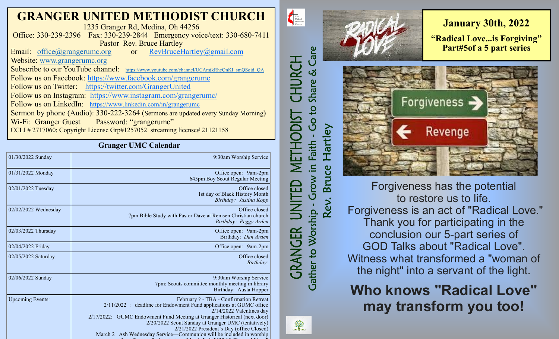## **GRANGER UNITED METHODIST CHURCH**

1235 Granger Rd, Medina, Oh 44256 Office: 330-239-2396 Fax: 330-239-2844 Emergency voice/text: 330-680-7411 Pastor Rev. Bruce Hartley<br>
experimentally: 0.000 or RevBruceHartley<br>  $Q_2$  mail.com

Email: [office@grangerumc.org](mailto:office@grangerumc.org) or Website: [www.grangerumc.org](http://www.grangerumc.org) Subscribe to our YouTube channel: [https://www.youtube.com/channel/UCAmjkRhcQnKI\\_smQSqjd\\_QA](https://www.youtube.com/channel/UCAmjkRhcQnKI_smQSqjd_QA) Follow us on Facebook: <https://www.facebook.com/grangerumc> Follow us on Twitter: <https://twitter.com/GrangerUnited> Follow us on Instagram: <https://www.instagram.com/grangerumc/> Follow us on LinkedIn: [https://www.linkedin.com/in/grangerumc](https://www.linkedin.com/in/secretary-granger-umc-1a9850215/detail/recent-activity/) Sermon by phone (Audio): 330-222-3264 (Sermons are updated every Sunday Morning) Wi-Fi: Granger Guest Password: "grangerumc" CCLI # 2717060; Copyright License Grp#1257052 streaming license# 21121158

### **Granger UMC Calendar**

| o                       |                                                                                                                                                                                                                                                                                                                                                                                                     |
|-------------------------|-----------------------------------------------------------------------------------------------------------------------------------------------------------------------------------------------------------------------------------------------------------------------------------------------------------------------------------------------------------------------------------------------------|
| 01/30/2022 Sunday       | 9:30am Worship Service                                                                                                                                                                                                                                                                                                                                                                              |
| 01/31/2022 Monday       | Office open: 9am-2pm<br>645pm Boy Scout Regular Meeting                                                                                                                                                                                                                                                                                                                                             |
| 02/01/2022 Tuesday      | Office closed<br>1st day of Black History Month<br>Birthday: Justina Kopp                                                                                                                                                                                                                                                                                                                           |
| 02/02/2022 Wednesday    | Office closed<br>7pm Bible Study with Pastor Dave at Remsen Christian church<br>Birthday: Peggy Arden                                                                                                                                                                                                                                                                                               |
| 02/03/2022 Thursday     | Office open: 9am-2pm<br>Birthday: Dan Arden                                                                                                                                                                                                                                                                                                                                                         |
| 02/04/2022 Friday       | Office open: 9am-2pm                                                                                                                                                                                                                                                                                                                                                                                |
| 02/05/2022 Saturday     | Office closed<br>Birthday:                                                                                                                                                                                                                                                                                                                                                                          |
| 02/06/2022 Sunday       | 9:30am Worship Service<br>7pm: Scouts committee monthly meeting in library<br>Birthday: Austa Hopper                                                                                                                                                                                                                                                                                                |
| <b>Upcoming Events:</b> | February ? - TBA - Confirmation Retreat<br>2/11/2022 : deadline for Endowment Fund applications at GUMC office<br>$2/14/2022$ Valentines day<br>2/17/2022: GUMC Endowment Fund Meeting at Granger Historical (next door)<br>2/20/2022 Scout Sunday at Granger UMC (tentatively)<br>2/21/2022 President's Day (office Closed)<br>March 2 Ash Wednesday Service—Communion will be included in worship |

**January 30th, 2022 "Radical Love...is Forgiving" Part#5of a 5 part series** Forgiveness -Revenge

Forgiveness has the potential to restore us to life. Forgiveness is an act of "Radical Love." Thank you for participating in the conclusion our 5-part series of GOD Talks about "Radical Love". Witness what transformed a "woman of the night" into a servant of the light.

**Who knows "Radical Love" may transform you too!**



 $\begin{tabular}{|c|c|} \hline \multicolumn{3}{|c|}{The United}\\ United\\ Methodist\\ Church\\ \hline \end{tabular}$ 

CHURCH

**ISIQOI** 

Ē

Care

Share &

**Coto** 

Faith

**Gather to Worship** 

*GRANGER* 

lartley

ပ္ပ

 $\mathbf{\Omega}$ 

Rev.